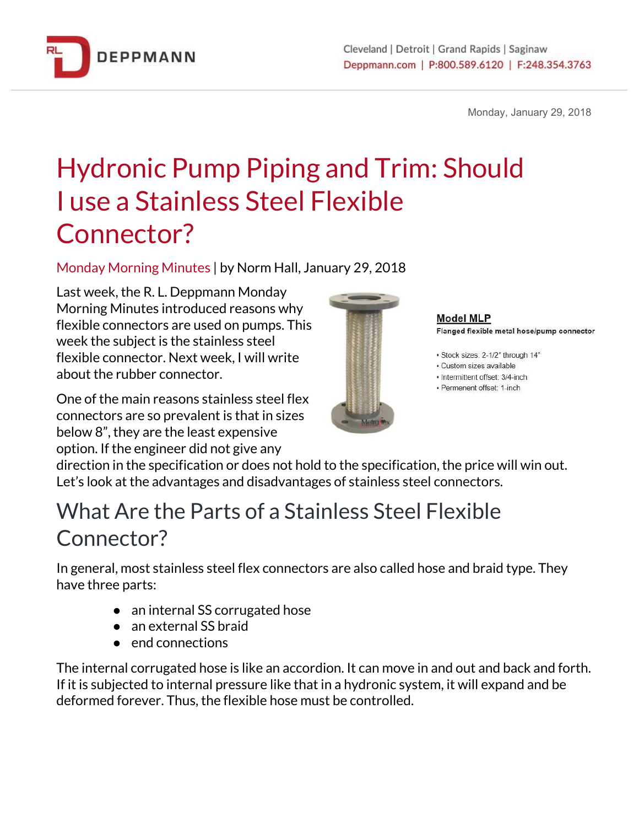

Monday, January 29, 2018

# Hydronic Pump Piping and Trim: Should I use a Stainless Steel Flexible Connector?

Monday Morning Minutes | by Norm Hall, January 29, 2018

Last week, the R. L. Deppmann Monday Morning Minutes introduced reasons why flexible connectors are used on pumps. This week the subject is the stainless steel flexible connector. Next week, I will write about the rubber connector.

One of the main reasons stainless steel flex connectors are so prevalent is that in sizes below 8", they are the least expensive option. If the engineer did not give any



**Model MLP** Flanged flexible metal hose/pump connector

· Stock sizes: 2-1/2" through 14"

· Custom sizes available

- · Intermittent offset: 3/4-inch
- · Permenent offset: 1-inch

direction in the specification or does not hold to the specification, the price will win out. Let's look at the advantages and disadvantages of stainless steel connectors.

#### What Are the Parts of a Stainless Steel Flexible Connector?

In general, most stainless steel flex connectors are also called hose and braid type. They have three parts:

- an internal SS corrugated hose
- an external SS braid
- end connections

The internal corrugated hose is like an accordion. It can move in and out and back and forth. If it is subjected to internal pressure like that in a hydronic system, it will expand and be deformed forever. Thus, the flexible hose must be controlled.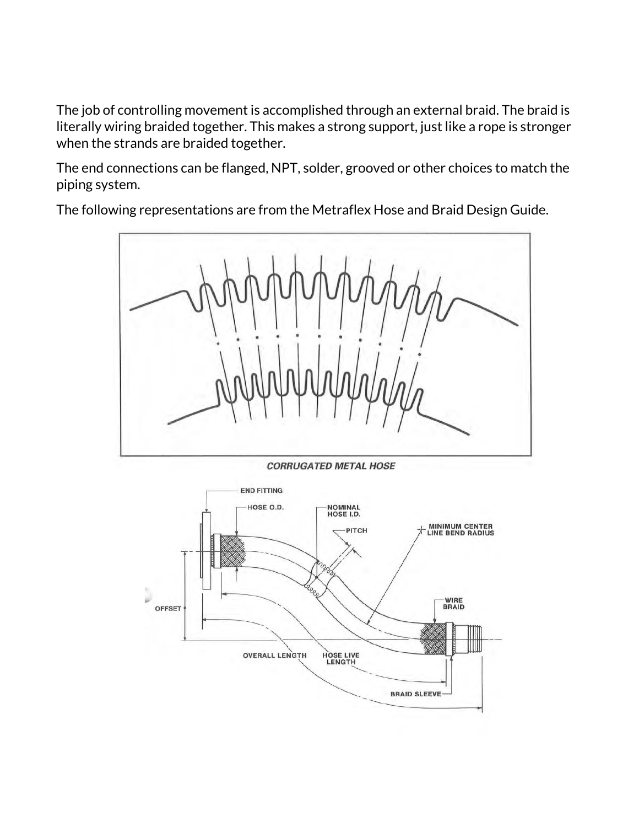The job of controlling movement is accomplished through an external braid. The braid is literally wiring braided together. This makes a strong support, just like a rope is stronger when the strands are braided together.

The end connections can be flanged, NPT, solder, grooved or other choices to match the piping system.

The following representations are from the Metraflex Hose and Braid Design Guide.



**CORRUGATED METAL HOSE** 

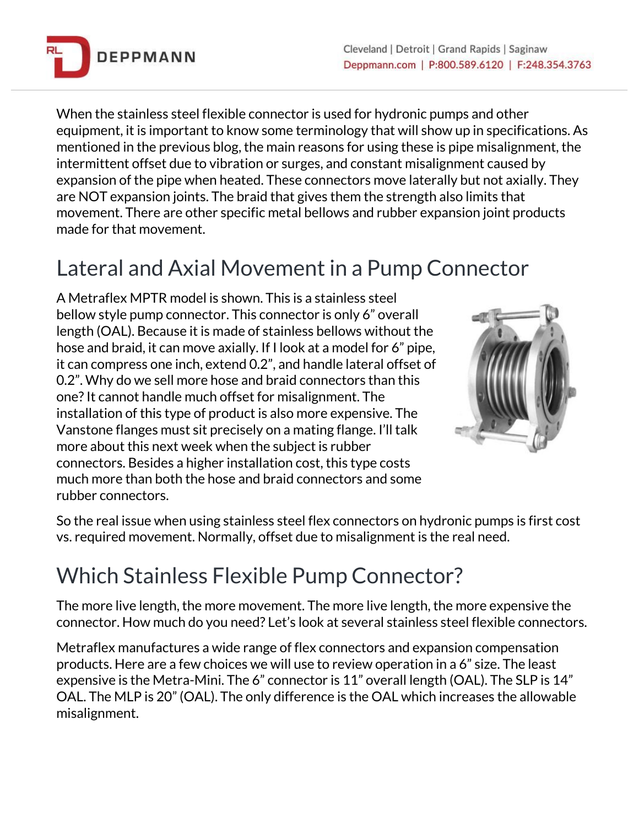

When the stainless steel flexible connector is used for hydronic pumps and other equipment, it is important to know some terminology that will show up in specifications. As mentioned in the previous blog, the main reasons for using these is pipe misalignment, the intermittent offset due to vibration or surges, and constant misalignment caused by expansion of the pipe when heated. These connectors move laterally but not axially. They are NOT expansion joints. The braid that gives them the strength also limits that movement. There are other specific metal bellows and rubber expansion joint products made for that movement.

### Lateral and Axial Movement in a Pump Connector

A Metraflex MPTR model is shown. This is a stainless steel bellow style pump connector. This connector is only 6" overall length (OAL). Because it is made of stainless bellows without the hose and braid, it can move axially. If I look at a model for 6" pipe, it can compress one inch, extend 0.2", and handle lateral offset of 0.2". Why do we sell more hose and braid connectors than this one?It cannot handle much offset for misalignment. The installation of this type of product is also more expensive. The Vanstone flanges must sit precisely on a mating flange. I'll talk more about this next week when the subject is rubber connectors. Besides a higher installation cost, this type costs much more than both the hose and braid connectors and some rubber connectors.



So the real issue when using stainless steel flex connectors on hydronic pumps is first cost vs. required movement. Normally, offset due to misalignment is the real need.

## Which Stainless Flexible Pump Connector?

The more live length, the more movement. The more live length, the more expensive the connector. How much do you need? Let's look at several stainless steel flexible connectors.

Metraflex manufactures a wide range of flex connectors and expansion compensation products. Here are a few choices we will use to review operation in a 6" size. The least expensive is the Metra-Mini. The 6" connector is 11" overall length (OAL). The SLP is 14" OAL. The MLP is 20" (OAL). The only difference is the OAL which increases the allowable misalignment.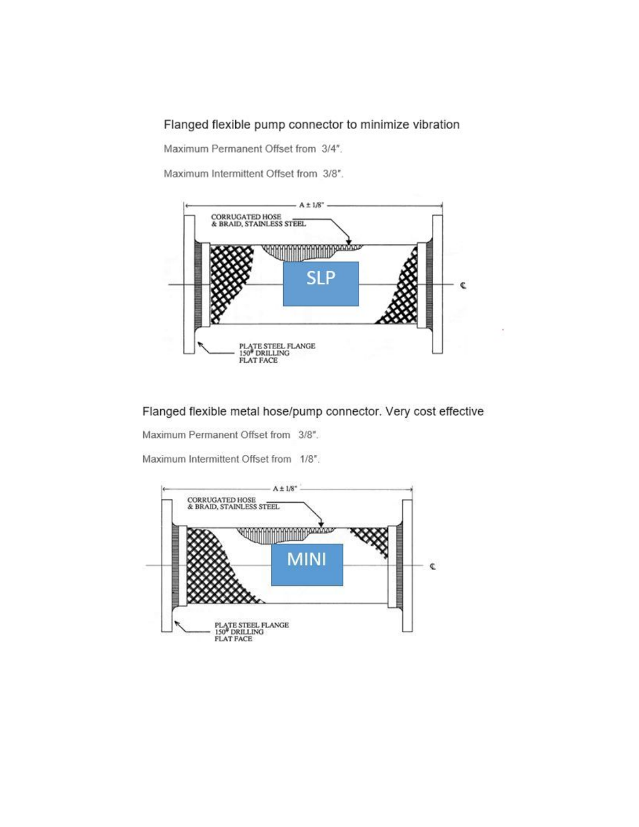Flanged flexible pump connector to minimize vibration

Maximum Permanent Offset from 3/4".

Maximum Intermittent Offset from 3/8".



Flanged flexible metal hose/pump connector. Very cost effective

Maximum Permanent Offset from 3/8".

Maximum Intermittent Offset from 1/8".